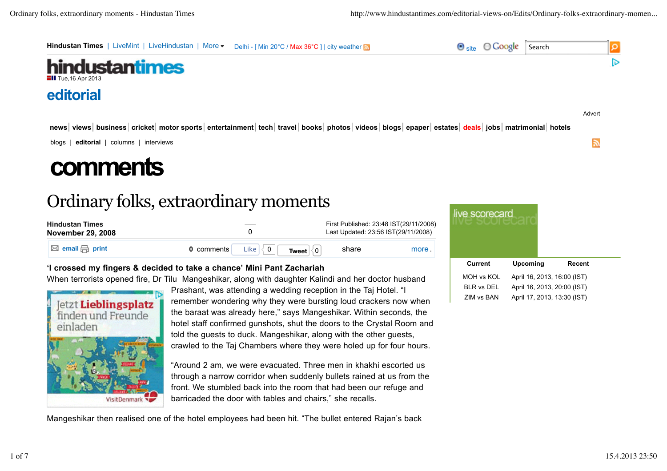

| <b>Hindustan Times</b><br><b>November 29, 2008</b> |            |                               |                                       | First Published: 23:48 IST(29/11/2008)<br>Last Updated: 23:56 IST(29/11/2008) |       |
|----------------------------------------------------|------------|-------------------------------|---------------------------------------|-------------------------------------------------------------------------------|-------|
| $\boxtimes$ email $\boxminus$ print                | 0 comments | Like $\vert\langle\>0\,\vert$ | Tweet $\vert \langle 0 \vert \rangle$ | share                                                                         | more. |

# **'I crossed my fingers & decided to take a chance' Mini Pant Zachariah**

When terrorists opened fire, Dr Tilu Mangeshikar, along with daughter Kalindi and her doctor husband



Prashant, was attending a wedding reception in the Taj Hotel. "I remember wondering why they were bursting loud crackers now when the baraat was already here," says Mangeshikar. Within seconds, the hotel staff confirmed gunshots, shut the doors to the Crystal Room and told the guests to duck. Mangeshikar, along with the other guests, crawled to the Taj Chambers where they were holed up for four hours.

"Around 2 am, we were evacuated. Three men in khakhi escorted us through a narrow corridor when suddenly bullets rained at us from the front. We stumbled back into the room that had been our refuge and barricaded the door with tables and chairs," she recalls.

Mangeshikar then realised one of the hotel employees had been hit. "The bullet entered Rajan's back

| live scorecard    |                             |        |  |  |
|-------------------|-----------------------------|--------|--|--|
| Current           | Upcoming                    | Recent |  |  |
| MOH vs KOL        | April 16, 2013, 16:00 (IST) |        |  |  |
| <b>BLR vs DEL</b> | April 16, 2013, 20:00 (IST) |        |  |  |
| ZIM vs BAN        | April 17, 2013, 13:30 (IST) |        |  |  |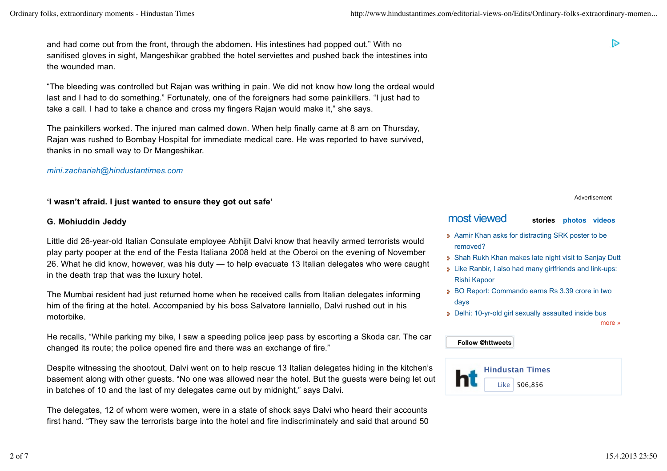and had come out from the front, through the abdomen. His intestines had popped out." With no sanitised gloves in sight, Mangeshikar grabbed the hotel serviettes and pushed back the intestines into the wounded man.

"The bleeding was controlled but Rajan was writhing in pain. We did not know how long the ordeal would last and I had to do something." Fortunately, one of the foreigners had some painkillers. "I just had to take a call. I had to take a chance and cross my fingers Rajan would make it," she says.

The painkillers worked. The injured man calmed down. When help finally came at 8 am on Thursday, Rajan was rushed to Bombay Hospital for immediate medical care. He was reported to have survived, thanks in no small way to Dr Mangeshikar.

#### *mini.zachariah@hindustantimes.com*

#### **'I wasn't afraid. I just wanted to ensure they got out safe'**

#### **G. Mohiuddin Jeddy**

Little did 26-year-old Italian Consulate employee Abhijit Dalvi know that heavily armed terrorists would play party pooper at the end of the Festa Italiana 2008 held at the Oberoi on the evening of November 26. What he did know, however, was his duty — to help evacuate 13 Italian delegates who were caught in the death trap that was the luxury hotel.

The Mumbai resident had just returned home when he received calls from Italian delegates informing him of the firing at the hotel. Accompanied by his boss Salvatore Ianniello, Dalvi rushed out in his motorbike.

He recalls, "While parking my bike, I saw a speeding police jeep pass by escorting a Skoda car. The car changed its route; the police opened fire and there was an exchange of fire."

Despite witnessing the shootout, Dalvi went on to help rescue 13 Italian delegates hiding in the kitchen's basement along with other guests. "No one was allowed near the hotel. But the guests were being let out in batches of 10 and the last of my delegates came out by midnight," says Dalvi.

The delegates, 12 of whom were women, were in a state of shock says Dalvi who heard their accounts first hand. "They saw the terrorists barge into the hotel and fire indiscriminately and said that around 50 চ

Advertisement

# most viewed **stories photos videos**

- **Aamir Khan asks for distracting SRK poster to be** removed?
- Shah Rukh Khan makes late night visit to Sanjay Dutt
- Like Ranbir, I also had many girlfriends and link-ups: Rishi Kapoor
- BO Report: Commando earns Rs 3.39 crore in two days
- Delhi: 10-yr-old girl sexually assaulted inside bus

more »

#### **Follow @httweets**

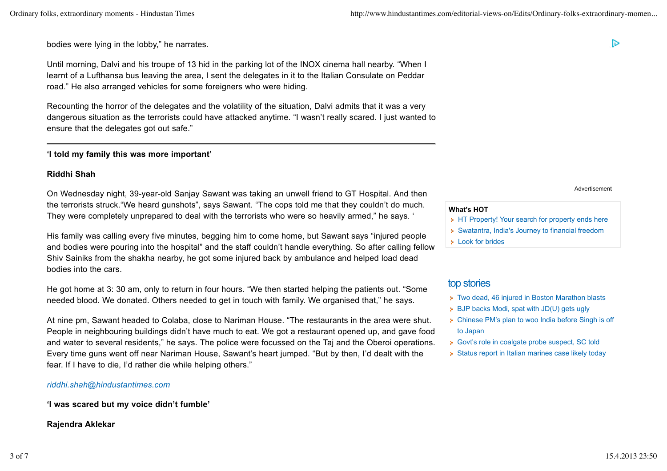bodies were lying in the lobby," he narrates.

Until morning, Dalvi and his troupe of 13 hid in the parking lot of the INOX cinema hall nearby. "When I learnt of a Lufthansa bus leaving the area, I sent the delegates in it to the Italian Consulate on Peddar road." He also arranged vehicles for some foreigners who were hiding.

Recounting the horror of the delegates and the volatility of the situation, Dalvi admits that it was a very dangerous situation as the terrorists could have attacked anytime. "I wasn't really scared. I just wanted to ensure that the delegates got out safe."

#### **'I told my family this was more important'**

### **Riddhi Shah**

On Wednesday night, 39-year-old Sanjay Sawant was taking an unwell friend to GT Hospital. And then the terrorists struck."We heard gunshots", says Sawant. "The cops told me that they couldn't do much. They were completely unprepared to deal with the terrorists who were so heavily armed," he says. '

His family was calling every five minutes, begging him to come home, but Sawant says "injured people and bodies were pouring into the hospital" and the staff couldn't handle everything. So after calling fellow Shiv Sainiks from the shakha nearby, he got some injured back by ambulance and helped load dead bodies into the cars.

He got home at 3: 30 am, only to return in four hours. "We then started helping the patients out. "Some needed blood. We donated. Others needed to get in touch with family. We organised that," he says.

At nine pm, Sawant headed to Colaba, close to Nariman House. "The restaurants in the area were shut. People in neighbouring buildings didn't have much to eat. We got a restaurant opened up, and gave food and water to several residents," he says. The police were focussed on the Taj and the Oberoi operations. Every time guns went off near Nariman House, Sawant's heart jumped. "But by then, I'd dealt with the fear. If I have to die, I'd rather die while helping others."

#### *riddhi.shah@hindustantimes.com*

**'I was scared but my voice didn't fumble'**

#### **Rajendra Aklekar**

Advertisement

D

#### **What's HOT**

- **HT Property! Your search for property ends here**
- Swatantra, India's Journey to financial freedom
- **Look for brides**

## top stories

- Two dead, 46 injured in Boston Marathon blasts
- **BJP backs Modi, spat with JD(U) gets ugly**
- Chinese PM's plan to woo India before Singh is off to Japan
- **Govt's role in coalgate probe suspect, SC told**
- Status report in Italian marines case likely today